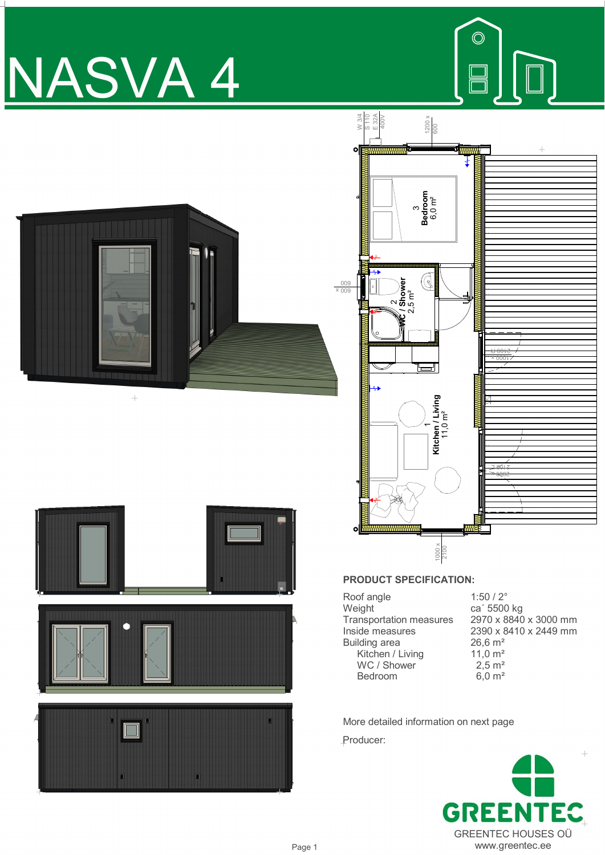# NASVA 4









## **PRODUCT SPECIFICATION:**

| Roof angle                     | $1:50/2^{\circ}$      |
|--------------------------------|-----------------------|
| Weight                         | ca' 5500 kg           |
| <b>Transportation measures</b> | 2970 x 8840 x 3000 mm |
| Inside measures                | 2390 x 8410 x 2449 mm |
| <b>Building area</b>           | $26,6 \text{ m}^2$    |
| Kitchen / Living               | 11,0 $m2$             |
| WC / Shower                    | $2,5 \, \text{m}^2$   |
| Bedroom                        | $6,0 \; \text{m}^2$   |
|                                |                       |

More detailed information on next page Producer: